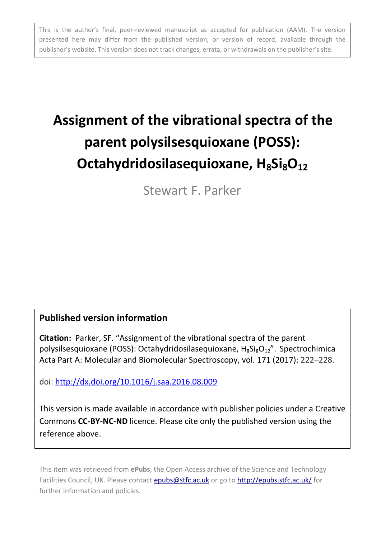This is the author's final, peer-reviewed manuscript as accepted for publication (AAM). The version presented here may differ from the published version, or version of record, available through the publisher's website. This version does not track changes, errata, or withdrawals on the publisher's site.

# **Assignment of the vibrational spectra of the parent polysilsesquioxane (POSS): Octahydridosilasequioxane, H8Si8O<sup>12</sup>**

Stewart F. Parker

# **Published version information**

**Citation:** Parker, SF. "Assignment of the vibrational spectra of the parent polysilsesquioxane (POSS): Octahydridosilasequioxane,  $H_8Si_8O_{12}$ ". Spectrochimica Acta Part A: Molecular and Biomolecular Spectroscopy, vol. 171 (2017): 222–228.

doi: <http://dx.doi.org/10.1016/j.saa.2016.08.009>

This version is made available in accordance with publisher policies under a Creative Commons **CC-BY-NC-ND** licence. Please cite only the published version using the reference above.

This item was retrieved from **ePubs**, the Open Access archive of the Science and Technology Facilities Council, UK. Please contact [epubs@stfc.ac.uk](mailto:epubs@stfc.ac.uk) or go to<http://epubs.stfc.ac.uk/> for further information and policies.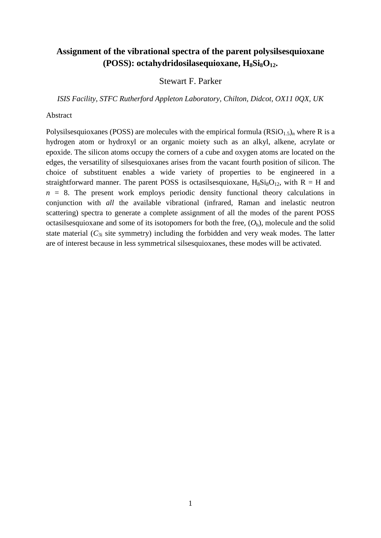# **Assignment of the vibrational spectra of the parent polysilsesquioxane (POSS): octahydridosilasequioxane, H<sub>8</sub>Si<sub>8</sub>O<sub>12</sub>.**

Stewart F. Parker

*ISIS Facility, STFC Rutherford Appleton Laboratory, Chilton, Didcot, OX11 0QX, UK*

### Abstract

Polysilsesquioxanes (POSS) are molecules with the empirical formula  $(RSiO<sub>1.5</sub>)<sub>n</sub>$  where R is a hydrogen atom or hydroxyl or an organic moiety such as an alkyl, alkene, acrylate or epoxide. The silicon atoms occupy the corners of a cube and oxygen atoms are located on the edges, the versatility of silsesquioxanes arises from the vacant fourth position of silicon. The choice of substituent enables a wide variety of properties to be engineered in a straightforward manner. The parent POSS is octasilsesquioxane,  $H_8Si_8O_{12}$ , with  $R = H$  and  $n = 8$ . The present work employs periodic density functional theory calculations in conjunction with *all* the available vibrational (infrared, Raman and inelastic neutron scattering) spectra to generate a complete assignment of all the modes of the parent POSS octasilses quioxane and some of its isotopomers for both the free,  $(O_h)$ , molecule and the solid state material  $(C_{3i}$  site symmetry) including the forbidden and very weak modes. The latter are of interest because in less symmetrical silsesquioxanes, these modes will be activated.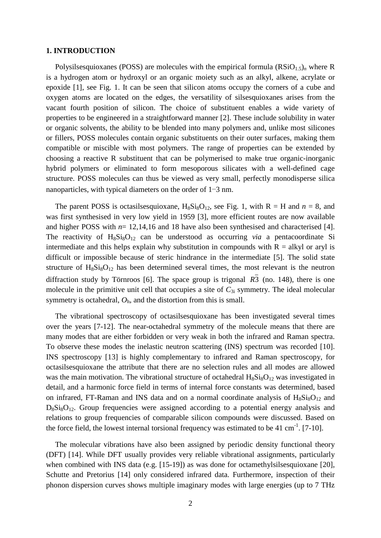### **1. INTRODUCTION**

Polysilsesquioxanes (POSS) are molecules with the empirical formula  $(RSiO<sub>1.5</sub>)<sub>n</sub>$  where R is a hydrogen atom or hydroxyl or an organic moiety such as an alkyl, alkene, acrylate or epoxide [1], see Fig. 1. It can be seen that silicon atoms occupy the corners of a cube and oxygen atoms are located on the edges, the versatility of silsesquioxanes arises from the vacant fourth position of silicon. The choice of substituent enables a wide variety of properties to be engineered in a straightforward manner [2]. These include solubility in water or organic solvents, the ability to be blended into many polymers and, unlike most silicones or fillers, POSS molecules contain organic substituents on their outer surfaces, making them compatible or miscible with most polymers. The range of properties can be extended by choosing a reactive R substituent that can be polymerised to make true organic-inorganic hybrid polymers or eliminated to form mesoporous silicates with a well-defined cage structure. POSS molecules can thus be viewed as very small, perfectly monodisperse silica nanoparticles, with typical diameters on the order of 1−3 nm.

The parent POSS is octasilsesquioxane,  $H_8Si_8O_{12}$ , see Fig. 1, with  $R = H$  and  $n = 8$ , and was first synthesised in very low yield in 1959 [3], more efficient routes are now available and higher POSS with *n*= 12,14,16 and 18 have also been synthesised and characterised [4]. The reactivity of  $H_8Si_8O_{12}$  can be understood as occurring *via* a pentacoordinate Si intermediate and this helps explain why substitution in compounds with  $R = alkyl$  or aryl is difficult or impossible because of steric hindrance in the intermediate [5]. The solid state structure of  $H_8Si_8O_{12}$  has been determined several times, the most relevant is the neutron diffraction study by Törnroos [6]. The space group is trigonal  $R_3$ <sup>3</sup> (no. 148), there is one molecule in the primitive unit cell that occupies a site of *C*3i symmetry. The ideal molecular symmetry is octahedral,  $O<sub>h</sub>$ , and the distortion from this is small.

The vibrational spectroscopy of octasilsesquioxane has been investigated several times over the years [7-12]. The near-octahedral symmetry of the molecule means that there are many modes that are either forbidden or very weak in both the infrared and Raman spectra. To observe these modes the inelastic neutron scattering (INS) spectrum was recorded [10]. INS spectroscopy [13] is highly complementary to infrared and Raman spectroscopy, for octasilsesquioxane the attribute that there are no selection rules and all modes are allowed was the main motivation. The vibrational structure of octahedral  $H_8Si_8O_{12}$  was investigated in detail, and a harmonic force field in terms of internal force constants was determined, based on infrared, FT-Raman and INS data and on a normal coordinate analysis of  $H_8Si_8O_{12}$  and  $D_8Si_8O_{12}$ . Group frequencies were assigned according to a potential energy analysis and relations to group frequencies of comparable silicon compounds were discussed. Based on the force field, the lowest internal torsional frequency was estimated to be  $41 \text{ cm}^{-1}$ . [7-10].

The molecular vibrations have also been assigned by periodic density functional theory (DFT) [14]. While DFT usually provides very reliable vibrational assignments, particularly when combined with INS data (e.g. [15-19]) as was done for octamethylsilsesquioxane [20], Schutte and Pretorius [14] only considered infrared data. Furthermore, inspection of their phonon dispersion curves shows multiple imaginary modes with large energies (up to 7 THz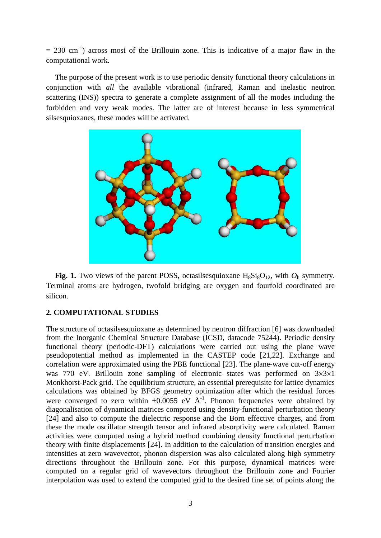$= 230$  cm<sup>-1</sup>) across most of the Brillouin zone. This is indicative of a major flaw in the computational work.

The purpose of the present work is to use periodic density functional theory calculations in conjunction with *all* the available vibrational (infrared, Raman and inelastic neutron scattering (INS)) spectra to generate a complete assignment of all the modes including the forbidden and very weak modes. The latter are of interest because in less symmetrical silsesquioxanes, these modes will be activated.



**Fig. 1.** Two views of the parent POSS, octasilsesquioxane  $H_8Si_8O_{12}$ , with  $O_h$  symmetry. Terminal atoms are hydrogen, twofold bridging are oxygen and fourfold coordinated are silicon.

# **2. COMPUTATIONAL STUDIES**

The structure of octasilsesquioxane as determined by neutron diffraction [6] was downloaded from the Inorganic Chemical Structure Database (ICSD, datacode 75244). Periodic density functional theory (periodic-DFT) calculations were carried out using the plane wave pseudopotential method as implemented in the CASTEP code [21,22]. Exchange and correlation were approximated using the PBE functional [23]. The plane-wave cut-off energy was 770 eV. Brillouin zone sampling of electronic states was performed on  $3\times3\times1$ Monkhorst-Pack grid. The equilibrium structure, an essential prerequisite for lattice dynamics calculations was obtained by BFGS geometry optimization after which the residual forces were converged to zero within  $\pm 0.0055$  eV  $\AA^{-1}$ . Phonon frequencies were obtained by diagonalisation of dynamical matrices computed using density-functional perturbation theory [24] and also to compute the dielectric response and the Born effective charges, and from these the mode oscillator strength tensor and infrared absorptivity were calculated. Raman activities were computed using a hybrid method combining density functional perturbation theory with finite displacements [24]. In addition to the calculation of transition energies and intensities at zero wavevector, phonon dispersion was also calculated along high symmetry directions throughout the Brillouin zone. For this purpose, dynamical matrices were computed on a regular grid of wavevectors throughout the Brillouin zone and Fourier interpolation was used to extend the computed grid to the desired fine set of points along the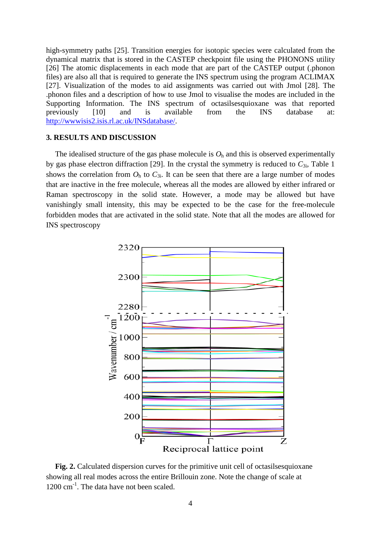high-symmetry paths [25]. Transition energies for isotopic species were calculated from the dynamical matrix that is stored in the CASTEP checkpoint file using the PHONONS utility [26] The atomic displacements in each mode that are part of the CASTEP output (.phonon files) are also all that is required to generate the INS spectrum using the program ACLIMAX [27]. Visualization of the modes to aid assignments was carried out with Jmol [28]. The .phonon files and a description of how to use Jmol to visualise the modes are included in the Supporting Information. The INS spectrum of octasilsesquioxane was that reported previously [10] and is available from the INS database at: [http://wwwisis2.isis.rl.ac.uk/INSdatabase/.](http://wwwisis2.isis.rl.ac.uk/INSdatabase/)

# **3. RESULTS AND DISCUSSION**

The idealised structure of the gas phase molecule is  $O<sub>h</sub>$  and this is observed experimentally by gas phase electron diffraction [29]. In the crystal the symmetry is reduced to *C*3i, Table 1 shows the correlation from  $O<sub>h</sub>$  to  $C<sub>3i</sub>$ . It can be seen that there are a large number of modes that are inactive in the free molecule, whereas all the modes are allowed by either infrared or Raman spectroscopy in the solid state. However, a mode may be allowed but have vanishingly small intensity, this may be expected to be the case for the free-molecule forbidden modes that are activated in the solid state. Note that all the modes are allowed for INS spectroscopy



**Fig. 2.** Calculated dispersion curves for the primitive unit cell of octasilsesquioxane showing all real modes across the entire Brillouin zone. Note the change of scale at 1200 cm-1 . The data have not been scaled.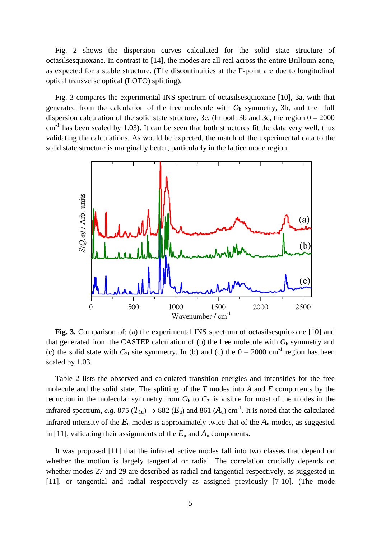Fig. 2 shows the dispersion curves calculated for the solid state structure of octasilsesquioxane. In contrast to [14], the modes are all real across the entire Brillouin zone, as expected for a stable structure. (The discontinuities at the Γ-point are due to longitudinal optical transverse optical (LOTO) splitting).

Fig. 3 compares the experimental INS spectrum of octasilsesquioxane [10], 3a, with that generated from the calculation of the free molecule with  $O<sub>h</sub>$  symmetry, 3b, and the full dispersion calculation of the solid state structure, 3c. (In both 3b and 3c, the region  $0 - 2000$  $cm<sup>-1</sup>$  has been scaled by 1.03). It can be seen that both structures fit the data very well, thus validating the calculations. As would be expected, the match of the experimental data to the solid state structure is marginally better, particularly in the lattice mode region.



**Fig. 3.** Comparison of: (a) the experimental INS spectrum of octasilsesquioxane [10] and that generated from the CASTEP calculation of (b) the free molecule with  $O<sub>h</sub>$  symmetry and (c) the solid state with  $C_{3i}$  site symmetry. In (b) and (c) the  $0 - 2000$  cm<sup>-1</sup> region has been scaled by 1.03.

Table 2 lists the observed and calculated transition energies and intensities for the free molecule and the solid state. The splitting of the *T* modes into *A* and *E* components by the reduction in the molecular symmetry from  $O<sub>h</sub>$  to  $C<sub>3i</sub>$  is visible for most of the modes in the infrared spectrum, *e.g.* 875 ( $T_{1u}$ )  $\rightarrow$  882 ( $E_u$ ) and 861 ( $A_u$ ) cm<sup>-1</sup>. It is noted that the calculated infrared intensity of the  $E_u$  modes is approximately twice that of the  $A_u$  modes, as suggested in [11], validating their assignments of the  $E_u$  and  $A_u$  components.

It was proposed [11] that the infrared active modes fall into two classes that depend on whether the motion is largely tangential or radial. The correlation crucially depends on whether modes 27 and 29 are described as radial and tangential respectively, as suggested in [11], or tangential and radial respectively as assigned previously [7-10]. (The mode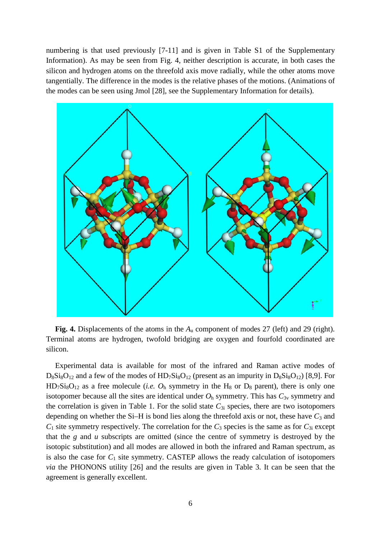numbering is that used previously [7-11] and is given in Table S1 of the Supplementary Information). As may be seen from Fig. 4, neither description is accurate, in both cases the silicon and hydrogen atoms on the threefold axis move radially, while the other atoms move tangentially. The difference in the modes is the relative phases of the motions. (Animations of the modes can be seen using Jmol [28], see the Supplementary Information for details).



**Fig. 4.** Displacements of the atoms in the *A*<sup>u</sup> component of modes 27 (left) and 29 (right). Terminal atoms are hydrogen, twofold bridging are oxygen and fourfold coordinated are silicon.

Experimental data is available for most of the infrared and Raman active modes of  $D_8Si_8O_{12}$  and a few of the modes of  $HD_7Si_8O_{12}$  (present as an impurity in  $D_8Si_8O_{12}$ ) [8,9]. For  $HD_7Si_8O_{12}$  as a free molecule (*i.e.*  $O_h$  symmetry in the H<sub>8</sub> or D<sub>8</sub> parent), there is only one isotopomer because all the sites are identical under  $O<sub>h</sub>$  symmetry. This has  $C<sub>3v</sub>$  symmetry and the correlation is given in Table 1. For the solid state  $C_{3i}$  species, there are two isotopomers depending on whether the Si–H is bond lies along the threefold axis or not, these have  $C_3$  and  $C_1$  site symmetry respectively. The correlation for the  $C_3$  species is the same as for  $C_{3i}$  except that the *g* and *u* subscripts are omitted (since the centre of symmetry is destroyed by the isotopic substitution) and all modes are allowed in both the infrared and Raman spectrum, as is also the case for  $C_1$  site symmetry. CASTEP allows the ready calculation of isotopomers *via* the PHONONS utility [26] and the results are given in Table 3. It can be seen that the agreement is generally excellent.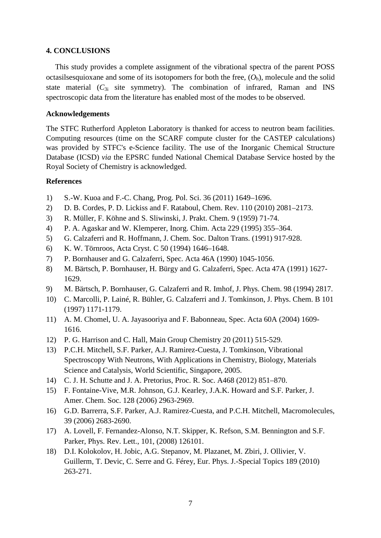## **4. CONCLUSIONS**

This study provides a complete assignment of the vibrational spectra of the parent POSS octasilses quioxane and some of its isotopomers for both the free,  $(O_h)$ , molecule and the solid state material  $(C_{3i}$  site symmetry). The combination of infrared, Raman and INS spectroscopic data from the literature has enabled most of the modes to be observed.

## **Acknowledgements**

The STFC Rutherford Appleton Laboratory is thanked for access to neutron beam facilities. Computing resources (time on the SCARF compute cluster for the CASTEP calculations) was provided by STFC's e-Science facility. The use of the Inorganic Chemical Structure Database (ICSD) *via* the EPSRC funded National Chemical Database Service hosted by the Royal Society of Chemistry is acknowledged.

# **References**

- 1) S.-W. Kuoa and F.-C. Chang, Prog. Pol. Sci. 36 (2011) 1649–1696.
- 2) D. B. Cordes, P. D. Lickiss and F. Rataboul, Chem. Rev. 110 (2010) 2081–2173.
- 3) R. Müller, F. Köhne and S. Sliwinski, J. Prakt. Chem. 9 (1959) 71-74.
- 4) P. A. Agaskar and W. Klemperer, Inorg. Chim. Acta 229 (1995) 355–364.
- 5) G. Calzaferri and R. Hoffmann, J. Chem. Soc. Dalton Trans. (1991) 917-928.
- 6) K. W. Törnroos, Acta Cryst. C 50 (1994) 1646–1648.
- 7) P. Bornhauser and G. Calzaferri, Spec. Acta 46A (1990) 1045-1056.
- 8) M. Bärtsch, P. Bornhauser, H. Bürgy and G. Calzaferri, Spec. Acta 47A (1991) 1627- 1629.
- 9) M. Bärtsch, P. Bornhauser, G. Calzaferri and R. Imhof, J. Phys. Chem. 98 (1994) 2817.
- 10) C. Marcolli, P. Lainé, R. Bühler, G. Calzaferri and J. Tomkinson, J. Phys. Chem. B 101 (1997) 1171-1179.
- 11) A. M. Chomel, U. A. Jayasooriya and F. Babonneau, Spec. Acta 60A (2004) 1609- 1616.
- 12) P. G. Harrison and C. Hall, Main Group Chemistry 20 (2011) 515-529.
- 13) P.C.H. Mitchell, S.F. Parker, A.J. Ramirez-Cuesta, J. Tomkinson, Vibrational Spectroscopy With Neutrons, With Applications in Chemistry, Biology, Materials Science and Catalysis, World Scientific, Singapore, 2005.
- 14) C. J. H. Schutte and J. A. Pretorius, Proc. R. Soc. A468 (2012) 851–870.
- 15) F. Fontaine-Vive, M.R. Johnson, G.J. Kearley, J.A.K. Howard and S.F. Parker, J. Amer. Chem. Soc. 128 (2006) 2963-2969.
- 16) G.D. Barrerra, S.F. Parker, A.J. Ramirez-Cuesta, and P.C.H. Mitchell, Macromolecules, 39 (2006) 2683-2690.
- 17) A. Lovell, F. Fernandez-Alonso, N.T. Skipper, K. Refson, S.M. Bennington and S.F. Parker, Phys. Rev. Lett., 101, (2008) 126101.
- 18) D.I. Kolokolov, H. Jobic, A.G. Stepanov, M. Plazanet, M. Zbiri, J. Ollivier, V. Guillerm, T. Devic, C. Serre and G. Férey, Eur. Phys. J.-Special Topics 189 (2010) 263-271.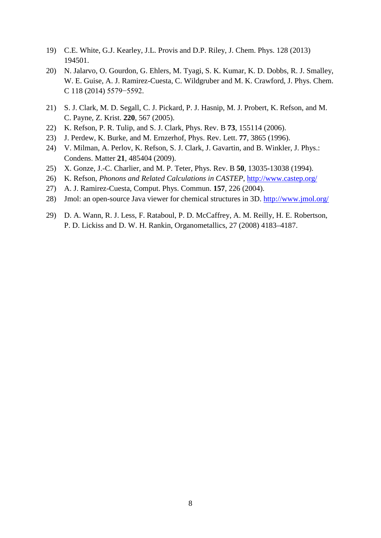- 19) C.E. White, G.J. Kearley, J.L. Provis and D.P. Riley, J. Chem. Phys. 128 (2013) 194501.
- 20) N. Jalarvo, O. Gourdon, G. Ehlers, M. Tyagi, S. K. Kumar, K. D. Dobbs, R. J. Smalley, W. E. Guise, A. J. Ramirez-Cuesta, C. Wildgruber and M. K. Crawford, J. Phys. Chem. C 118 (2014) 5579−5592.
- 21) S. J. Clark, M. D. Segall, C. J. Pickard, P. J. Hasnip, M. J. Probert, K. Refson, and M. C. Payne, Z. Krist. **220**, 567 (2005).
- 22) K. Refson, P. R. Tulip, and S. J. Clark, Phys. Rev. B **73**, 155114 (2006).
- 23) J. Perdew, K. Burke, and M. Ernzerhof, Phys. Rev. Lett. **77**, 3865 (1996).
- 24) V. Milman, A. Perlov, K. Refson, S. J. Clark, J. Gavartin, and B. Winkler, J. Phys.: Condens. Matter **21**, 485404 (2009).
- 25) X. Gonze, J.-C. Charlier, and M. P. Teter, Phys. Rev. B **50**, 13035-13038 (1994).
- 26) K. Refson, *Phonons and Related Calculations in CASTEP*,<http://www.castep.org/>
- 27) A. J. Ramirez-Cuesta, Comput. Phys. Commun. **157**, 226 (2004).
- 28) Jmol: an open-source Java viewer for chemical structures in 3D.<http://www.jmol.org/>
- 29) D. A. Wann, R. J. Less, F. Rataboul, P. D. McCaffrey, A. M. Reilly, H. E. Robertson, P. D. Lickiss and D. W. H. Rankin, Organometallics, 27 (2008) 4183–4187.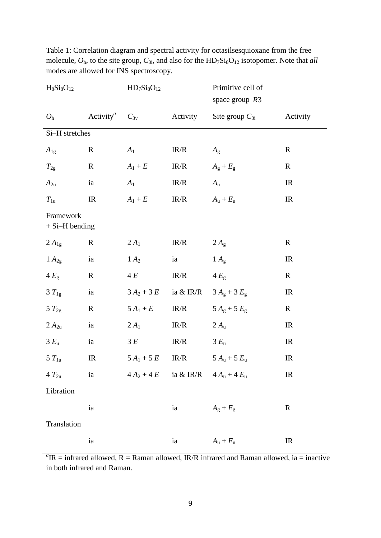| $H_8Si_8O_{12}$               |                              | $HD7Si8O12$                         |             | Primitive cell of<br>space group $R3$ |             |  |  |  |
|-------------------------------|------------------------------|-------------------------------------|-------------|---------------------------------------|-------------|--|--|--|
| O <sub>h</sub>                | Activity <sup><i>a</i></sup> | $C_{3v}$                            | Activity    | Site group $C_{3i}$                   | Activity    |  |  |  |
| Si-H stretches                |                              |                                     |             |                                       |             |  |  |  |
| $A_{1g}$                      | $\mathbf R$                  | $A_1$                               | IR/R        | $A_{\rm g}$                           | $\mathbf R$ |  |  |  |
| $T_{\rm 2g}$                  | $\mathbf R$                  | $A_1+E$                             | IR/R        | $A_{\rm g}+E_{\rm g}$                 | $\mathbf R$ |  |  |  |
| $A_{2u}$                      | ia                           | $A_1$                               | IR/R        | $A_{\rm u}$                           | IR          |  |  |  |
| $T_{1u}$                      | IR                           | $A_1+E$                             | IR/R        | $A_u + E_u$                           | $_{\rm IR}$ |  |  |  |
| Framework<br>$+ Si-H$ bending |                              |                                     |             |                                       |             |  |  |  |
| $2A_{1g}$                     | $\mathbf R$                  | $2A_1$                              | IR/R        | $2A_{\rm g}$                          | R           |  |  |  |
| $1 A_{2g}$                    | ia                           | $1A_2$                              | ia          | $1A_{\rm g}$                          | IR          |  |  |  |
| 4 E <sub>g</sub>              | $\mathbf R$                  | 4E                                  | IR/R        | 4 E <sub>g</sub>                      | $\mathbf R$ |  |  |  |
| $3 T_{1g}$                    | ia                           | $3A_2 + 3E$                         | ia $&$ IR/R | $3A_g + 3E_g$                         | IR          |  |  |  |
| $5 T_{2g}$                    | $\mathbf R$                  | $5A_1 + E$                          | IR/R        | $5A_{\rm g} + 5E_{\rm g}$             | $\mathbf R$ |  |  |  |
| $2A_{2u}$                     | ia                           | $2A_1$                              | IR/R        | 2A <sub>u</sub>                       | IR          |  |  |  |
| 3 E <sub>u</sub>              | ia                           | 3E                                  | IR/R        | 3 E <sub>u</sub>                      | IR          |  |  |  |
| $5 T_{1u}$                    | IR                           | $5A_1 + 5E$                         | IR/R        | $5A_{u} + 5E_{u}$                     | $_{\rm IR}$ |  |  |  |
| $4T_{2u}$                     | ia                           | $4A_2 + 4E$ ia & IR/R $4A_u + 4E_u$ |             |                                       | IR          |  |  |  |
| Libration                     |                              |                                     |             |                                       |             |  |  |  |
|                               | ia                           |                                     | ia          | $A_g + E_g$                           | $\mathbf R$ |  |  |  |
| Translation                   |                              |                                     |             |                                       |             |  |  |  |
|                               | ia                           |                                     | ia          | $A_u + E_u$                           | IR          |  |  |  |

Table 1: Correlation diagram and spectral activity for octasilsesquioxane from the free molecule,  $O_h$ , to the site group,  $C_{3i}$ , and also for the  $HD_7Si_8O_{12}$  isotopomer. Note that *all* modes are allowed for INS spectroscopy.

 ${}^{a}$ IR = infrared allowed, R = Raman allowed, IR/R infrared and Raman allowed, ia = inactive in both infrared and Raman.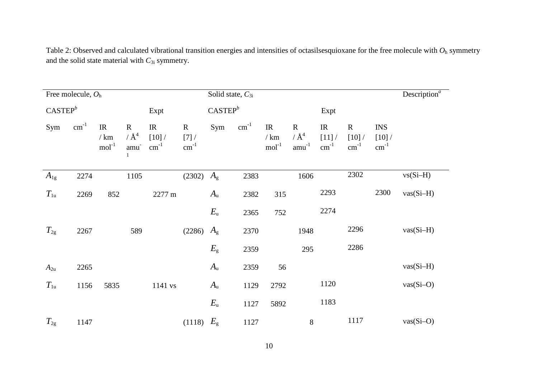Table 2: Observed and calculated vibrational transition energies and intensities of octasilsesquioxane for the free molecule with *O*<sup>h</sup> symmetry and the solid state material with  $C_{3i}$  symmetry.

|              | Free molecule, $Oh$ |                                                        |                                                     |                                    |                                       | Solid state, $C_{3i}$ |                  |                                                        |                                      |                         |                                             |                                            | Description <sup><math>a</math></sup> |
|--------------|---------------------|--------------------------------------------------------|-----------------------------------------------------|------------------------------------|---------------------------------------|-----------------------|------------------|--------------------------------------------------------|--------------------------------------|-------------------------|---------------------------------------------|--------------------------------------------|---------------------------------------|
| $CASTEP^b$   |                     |                                                        |                                                     | Expt                               |                                       | $CASTEP^b$            |                  |                                                        |                                      | Expt                    |                                             |                                            |                                       |
| Sym          | $\text{cm}^{-1}$    | $\ensuremath{\mathsf{IR}}\xspace$<br>$/$ km<br>$mol-1$ | $\mathbf R$<br>/ $\mathrm{\AA}^4$<br>$\text{amu}^-$ | IR<br>$[10]$ /<br>$\text{cm}^{-1}$ | ${\bf R}$<br>$[7]$ /<br>$\rm cm^{-1}$ | Sym                   | $\text{cm}^{-1}$ | $\ensuremath{\mathsf{IR}}\xspace$<br>$/$ km<br>$mol-1$ | ${\bf R}$<br>/ $\AA^4$<br>$amu^{-1}$ | IR<br>[11]<br>$cm^{-1}$ | $\mathbf R$<br>$[10]$ /<br>$\text{cm}^{-1}$ | <b>INS</b><br>$[10]$ /<br>$\text{cm}^{-1}$ |                                       |
| $A_{1g}$     | 2274                |                                                        | 1105                                                |                                    | (2302)                                | $A_{\rm g}$           | 2383             |                                                        | 1606                                 |                         | 2302                                        |                                            | $vs(Si-H)$                            |
| $T_{1u}$     | 2269                | 852                                                    |                                                     | 2277 m                             |                                       | $A_{\rm u}$           | 2382             | 315                                                    |                                      | 2293                    |                                             | 2300                                       | $vas(Si-H)$                           |
|              |                     |                                                        |                                                     |                                    |                                       | $E_{\mathrm{u}}$      | 2365             | 752                                                    |                                      | 2274                    |                                             |                                            |                                       |
| $T_{\rm 2g}$ | 2267                |                                                        | 589                                                 |                                    | (2286)                                | $A_{\rm g}$           | 2370             |                                                        | 1948                                 |                         | 2296                                        |                                            | $vas(Si-H)$                           |
|              |                     |                                                        |                                                     |                                    |                                       | $E_{\rm g}$           | 2359             |                                                        | 295                                  |                         | 2286                                        |                                            |                                       |
| $A_{2u}$     | 2265                |                                                        |                                                     |                                    |                                       | $A_{\rm u}$           | 2359             | 56                                                     |                                      |                         |                                             |                                            | $vas(Si-H)$                           |
| $T_{1u}$     | 1156                | 5835                                                   |                                                     | 1141 vs                            |                                       | $A_{\rm u}$           | 1129             | 2792                                                   |                                      | 1120                    |                                             |                                            | $vas(Si-O)$                           |
|              |                     |                                                        |                                                     |                                    |                                       | $E_{\mathrm{u}}$      | 1127             | 5892                                                   |                                      | 1183                    |                                             |                                            |                                       |
| $T_{\rm 2g}$ | 1147                |                                                        |                                                     |                                    | (1118)                                | $E_{\rm g}$           | 1127             |                                                        | $8\,$                                |                         | 1117                                        |                                            | $vas(Si-O)$                           |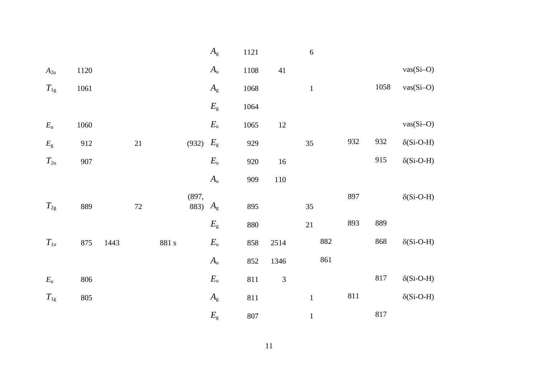|              |         |      |        |                   |       | $A_{\rm g}$      | 1121    |                | 6            |     |     |         |                   |
|--------------|---------|------|--------|-------------------|-------|------------------|---------|----------------|--------------|-----|-----|---------|-------------------|
| $A_{2u}$     | 1120    |      |        |                   |       | $A_{\rm u}$      | 1108    | $41\,$         |              |     |     |         | $vas(Si-O)$       |
| $T_{\rm 1g}$ | 1061    |      |        |                   |       | $A_{\rm g}$      | 1068    |                | $1\,$        |     |     | 1058    | $vas(Si-O)$       |
|              |         |      |        |                   |       | $E_{\rm g}$      | 1064    |                |              |     |     |         |                   |
| $E_{\rm u}$  | 1060    |      |        |                   |       | $E_{\mathrm{u}}$ | 1065    | 12             |              |     |     |         | $vas(Si-O)$       |
| $E_{\rm g}$  | 912     |      | $21\,$ |                   | (932) | $E_{\rm g}$      | 929     |                | 35           |     | 932 | 932     | $\delta$ (Si-O-H) |
| $T_{2u}$     | 907     |      |        |                   |       | $E_{\rm u}$      | 920     | $16\,$         |              |     |     | 915     | $\delta$ (Si-O-H) |
|              |         |      |        |                   |       | $A_{\mathrm{u}}$ | 909     | $110\,$        |              |     |     |         |                   |
|              |         |      |        |                   | (897, |                  |         |                |              |     | 897 |         | $\delta$ (Si-O-H) |
| $T_{\rm 2g}$ | 889     |      | $72\,$ |                   | 883)  | $A_{\rm g}$      | 895     |                | 35           |     |     |         |                   |
|              |         |      |        |                   |       | $E_{\rm g}$      | 880     |                | 21           |     | 893 | 889     |                   |
| $T_{1u}$     | 875     | 1443 |        | $881\mathrm{\ s}$ |       | $E_{\mathrm{u}}$ | 858     | 2514           |              | 882 |     | 868     | $\delta$ (Si-O-H) |
|              |         |      |        |                   |       | $A_{\mathrm{u}}$ | 852     | 1346           |              | 861 |     |         |                   |
| $E_{\rm u}$  | 806     |      |        |                   |       | $E_{\mathrm{u}}$ | $811\,$ | $\mathfrak{Z}$ |              |     |     | $817\,$ | $\delta$ (Si-O-H) |
| $T_{\rm 1g}$ | $805\,$ |      |        |                   |       | $A_{\rm g}$      | 811     |                | $\mathbf{1}$ |     | 811 |         | $\delta$ (Si-O-H) |
|              |         |      |        |                   |       | $E_{\rm g}$      | $807\,$ |                | $\mathbf 1$  |     |     | 817     |                   |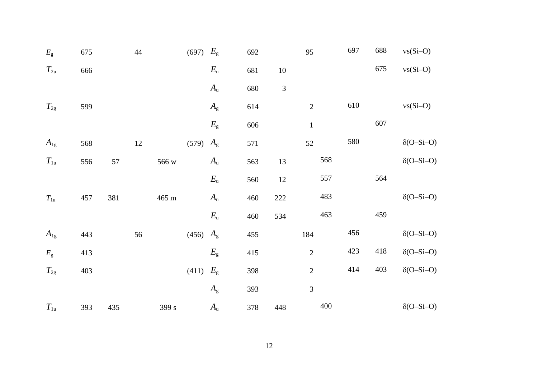| $E_{\rm g}$    | 675 |     | $44\,$ |                   | (697) | $E_{\rm g}$      | 692 |                | 95           | 697 | 688 | $vs(Si-O)$        |
|----------------|-----|-----|--------|-------------------|-------|------------------|-----|----------------|--------------|-----|-----|-------------------|
| $T_{2u}$       | 666 |     |        |                   |       | $E_{\rm u}$      | 681 | $10\,$         |              |     | 675 | $vs(Si-O)$        |
|                |     |     |        |                   |       | $A_{\rm u}$      | 680 | $\mathfrak{Z}$ |              |     |     |                   |
| $T_{2g}$       | 599 |     |        |                   |       | $A_{\rm g}$      | 614 |                | $\sqrt{2}$   | 610 |     | $vs(Si-O)$        |
|                |     |     |        |                   |       | $E_{\rm g}$      | 606 |                | $\mathbf{1}$ |     | 607 |                   |
| $A_{\rm 1g}$   | 568 |     | $12\,$ |                   | (579) | $A_{\rm g}$      | 571 |                | 52           | 580 |     | $\delta$ (O-Si-O) |
| $T_{1u}$       | 556 | 57  |        | 566 w             |       | $A_{\rm u}$      | 563 | 13             | 568          |     |     | $\delta$ (O-Si-O) |
|                |     |     |        |                   |       | $E_{\mathrm{u}}$ | 560 | 12             | 557          |     | 564 |                   |
| $T_{\rm 1u}$   | 457 | 381 |        | $465\;\mathrm{m}$ |       | $A_{\rm u}$      | 460 | $222\,$        | 483          |     |     | $\delta(O-Si-O)$  |
|                |     |     |        |                   |       | $E_{\mathrm{u}}$ | 460 | 534            | 463          |     | 459 |                   |
| $A_{1g}$       | 443 |     | 56     |                   | (456) | $A_{\rm g}$      | 455 |                | 184          | 456 |     | $\delta$ (O-Si-O) |
| $E_{\rm g}$    | 413 |     |        |                   |       | $E_{\rm g}$      | 415 |                | $\sqrt{2}$   | 423 | 418 | $\delta$ (O-Si-O) |
| $T_{2g}$       | 403 |     |        |                   | (411) | $E_{\rm g}$      | 398 |                | $\sqrt{2}$   | 414 | 403 | $\delta$ (O-Si-O) |
|                |     |     |        |                   |       | $A_{\rm g}$      | 393 |                | 3            |     |     |                   |
| $T_{1{\rm u}}$ | 393 | 435 |        | 399 s             |       | $A_{\mathrm{u}}$ | 378 | 448            | 400          |     |     | $\delta$ (O-Si-O) |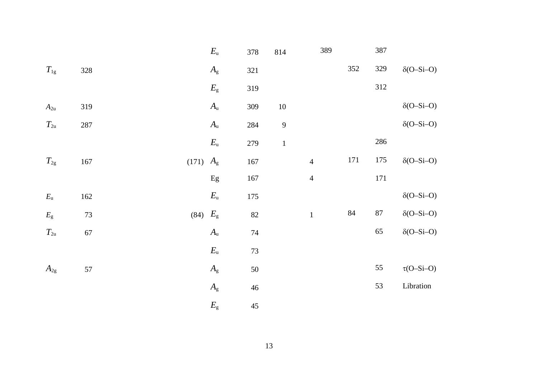|              |         | $E_{\mathrm{u}}$     | 378     | 814          | 389            |        | 387    |                   |
|--------------|---------|----------------------|---------|--------------|----------------|--------|--------|-------------------|
| $T_{\rm 1g}$ | 328     | $A_{\rm g}$          | 321     |              |                | 352    | 329    | $\delta$ (O-Si-O) |
|              |         | $E_{\rm g}$          | 319     |              |                |        | 312    |                   |
| $A_{2u}$     | 319     | $A_{\mathrm{u}}$     | 309     | $10\,$       |                |        |        | $\delta(O-Si-O)$  |
| $T_{2u}$     | 287     | $A_{\rm u}$          | 284     | $\mathbf{9}$ |                |        |        | $\delta(O-Si-O)$  |
|              |         | $E_{\rm u}$          | 279     | $\,1\,$      |                |        | 286    |                   |
| $T_{2g}$     | $167\,$ | $A_{\rm g}$<br>(171) | 167     |              | $\overline{4}$ | 171    | 175    | $\delta$ (O-Si-O) |
|              |         | ${\rm Eg}$           | $167\,$ |              | $\overline{4}$ |        | 171    |                   |
| $E_{\rm u}$  | 162     | $E_{\mathrm{u}}$     | 175     |              |                |        |        | $\delta$ (O-Si-O) |
| $E_{\rm g}$  | $73\,$  | $E_{\rm g}$<br>(84)  | $82\,$  |              | $\mathbf 1$    | $84\,$ | $87\,$ | $\delta$ (O-Si-O) |
| $T_{2u}$     | 67      | $A_{\rm u}$          | $74\,$  |              |                |        | 65     | $\delta$ (O-Si-O) |
|              |         | $E_{\mathrm{u}}$     | $73\,$  |              |                |        |        |                   |
| $A_{2g}$     | $57\,$  | $A_{\rm g}$          | $50\,$  |              |                |        | 55     | $\tau(O-Si-O)$    |
|              |         | $A_{\rm g}$          | $46\,$  |              |                |        | 53     | Libration         |
|              |         | $E_{\rm g}$          | $45\,$  |              |                |        |        |                   |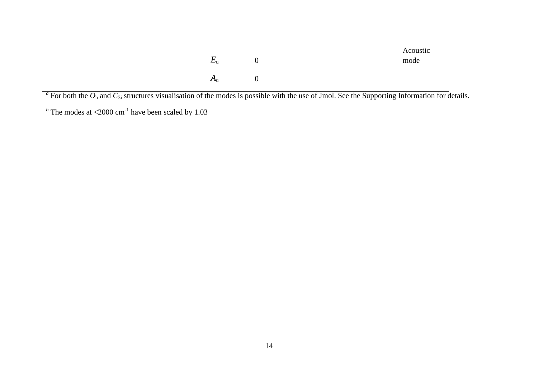$E_{\rm u}$  0 Acoustic mode  $A_{\rm u}$  0

 $a^a$  For both the  $O_h$  and  $C_{3i}$  structures visualisation of the modes is possible with the use of Jmol. See the Supporting Information for details.

 $<sup>b</sup>$  The modes at <2000 cm<sup>-1</sup> have been scaled by 1.03</sup>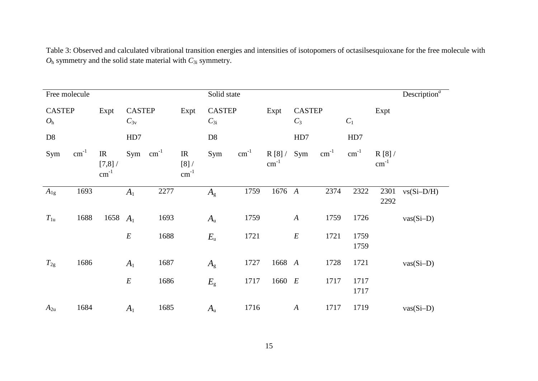Table 3: Observed and calculated vibrational transition energies and intensities of isotopomers of octasilsesquioxane for the free molecule with *O*<sup>h</sup> symmetry and the solid state material with *C*3i symmetry.

|                                 | Free molecule |                                                             |                           |      |                                                                  | Solid state               |                  |                           |                        |           |              |                    | Description $\overline{a}$ |
|---------------------------------|---------------|-------------------------------------------------------------|---------------------------|------|------------------------------------------------------------------|---------------------------|------------------|---------------------------|------------------------|-----------|--------------|--------------------|----------------------------|
| <b>CASTEP</b><br>O <sub>h</sub> |               | Expt                                                        | <b>CASTEP</b><br>$C_{3v}$ |      | Expt                                                             | <b>CASTEP</b><br>$C_{3i}$ |                  | Expt                      | <b>CASTEP</b><br>$C_3$ |           | $C_1$        | Expt               |                            |
| D8                              |               |                                                             | HD7                       |      |                                                                  | D <sub>8</sub>            |                  |                           | HD7                    |           | HD7          |                    |                            |
| Sym                             | $cm^{-1}$     | $\ensuremath{\mathsf{IR}}\xspace$<br>$[7,8]$ /<br>$cm^{-1}$ | $Sym$ cm <sup>-1</sup>    |      | $\ensuremath{\mathsf{IR}}\xspace$<br>$[8]$ /<br>$\text{cm}^{-1}$ | Sym                       | $\text{cm}^{-1}$ | R[8]/<br>$\text{cm}^{-1}$ | Sym                    | $cm^{-1}$ | $cm^{-1}$    | R[8]/<br>$cm^{-1}$ |                            |
| $A_{1g}$                        | 1693          |                                                             | $A_{1}$                   | 2277 |                                                                  | $A_{\rm g}$               | 1759             | 1676                      | $\boldsymbol{A}$       | 2374      | 2322         | 2301<br>2292       | $vs(Si-D/H)$               |
| $T_{1u}$                        | 1688          | 1658                                                        | $A_1$                     | 1693 |                                                                  | $A_{\rm u}$               | 1759             |                           | $\boldsymbol{A}$       | 1759      | 1726         |                    | $vas(Si-D)$                |
|                                 |               |                                                             | $\cal E$                  | 1688 |                                                                  | $E_{\mathrm{u}}$          | 1721             |                           | $\cal E$               | 1721      | 1759<br>1759 |                    |                            |
| $T_{\rm 2g}$                    | 1686          |                                                             | $A_1$                     | 1687 |                                                                  | $A_{\rm g}$               | 1727             | 1668 A                    |                        | 1728      | 1721         |                    | $vas(Si-D)$                |
|                                 |               |                                                             | $\cal E$                  | 1686 |                                                                  | $E_{\rm g}$               | 1717             | 1660 E                    |                        | 1717      | 1717<br>1717 |                    |                            |
| $A_{2u}$                        | 1684          |                                                             | $A_1$                     | 1685 |                                                                  | $A_{\mathrm{u}}$          | 1716             |                           | $\boldsymbol{A}$       | 1717      | 1719         |                    | $vas(Si-D)$                |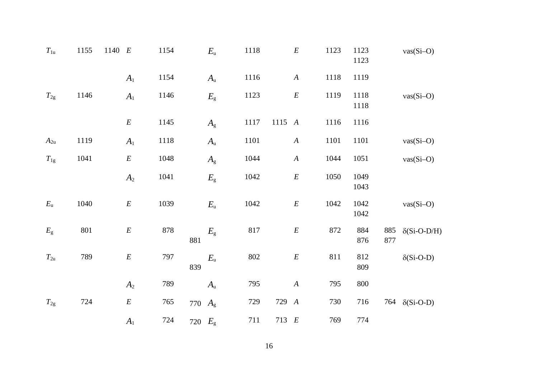| $T_{1u}$     | 1155 | 1140 E         | 1154 | $E_{\mathrm{u}}$        | 1118 | $\cal E$                 | 1123 | 1123<br>1123 |            | $vas(Si-O)$          |
|--------------|------|----------------|------|-------------------------|------|--------------------------|------|--------------|------------|----------------------|
|              |      | $A_1$          | 1154 | $A_{\mathrm{u}}$        | 1116 | $\boldsymbol{A}$         | 1118 | 1119         |            |                      |
| $T_{\rm 2g}$ | 1146 | $A_1$          | 1146 | $E_{\rm g}$             | 1123 | $\cal E$                 | 1119 | 1118<br>1118 |            | $vas(Si-O)$          |
|              |      | $\cal E$       | 1145 | $A_{\rm g}$             | 1117 | 1115<br>$\boldsymbol{A}$ | 1116 | 1116         |            |                      |
| $A_{2u}$     | 1119 | A <sub>1</sub> | 1118 | $A_{\mathrm{u}}$        | 1101 | $\boldsymbol{A}$         | 1101 | 1101         |            | $vas(Si-O)$          |
| $T_{\rm 1g}$ | 1041 | $\cal E$       | 1048 | $A_{\rm g}$             | 1044 | $\boldsymbol{A}$         | 1044 | 1051         |            | $vas(Si-O)$          |
|              |      | A <sub>2</sub> | 1041 | $E_{\rm g}$             | 1042 | $\cal E$                 | 1050 | 1049<br>1043 |            |                      |
| $E_{\rm u}$  | 1040 | $\cal E$       | 1039 | $E_{\mathrm{u}}$        | 1042 | $\cal E$                 | 1042 | 1042<br>1042 |            | $vas(Si-O)$          |
| $E_{\rm g}$  | 801  | $\cal E$       | 878  | $E_{\rm g}$<br>881      | 817  | $\cal E$                 | 872  | 884<br>876   | 885<br>877 | $\delta(Si-O-D/H)$   |
| $T_{2u}$     | 789  | $\cal E$       | 797  | $E_{\mathrm{u}}$<br>839 | 802  | $\cal E$                 | 811  | 812<br>809   |            | $\delta(Si-O-D)$     |
|              |      | A <sub>2</sub> | 789  | $A_{\mathrm{u}}$        | 795  | $\boldsymbol{A}$         | 795  | 800          |            |                      |
| $T_{\rm 2g}$ | 724  | $\cal E$       | 765  | 770 $A_{\rm g}$         | 729  | 729<br>$\boldsymbol{A}$  | 730  | 716          |            | 764 $\delta(Si-O-D)$ |
|              |      | $A_{1}$        | 724  | 720 $E_{\rm g}$         | 711  | 713 $E$                  | 769  | 774          |            |                      |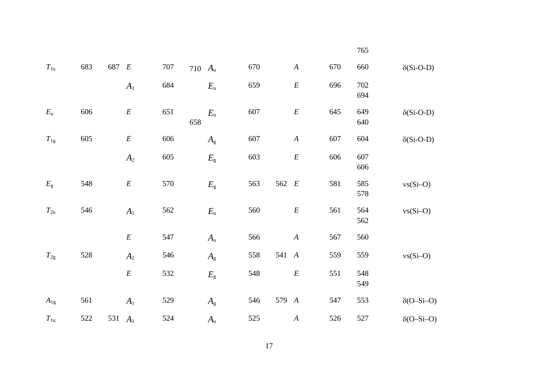|              |     |     |                |         |           |                  |     |       |                  |     | 765        |                   |
|--------------|-----|-----|----------------|---------|-----------|------------------|-----|-------|------------------|-----|------------|-------------------|
| $T_{1u}$     | 683 | 687 | E              | $707\,$ | 710 $A_u$ |                  | 670 |       | $\boldsymbol{A}$ | 670 | 660        | $\delta(Si-O-D)$  |
|              |     |     | $A_1$          | 684     |           | $E_{\mathrm{u}}$ | 659 |       | $\boldsymbol{E}$ | 696 | 702<br>694 |                   |
| $E_{\rm u}$  | 606 |     | $\cal E$       | 651     | 658       | $E_{\mathrm{u}}$ | 607 |       | $\boldsymbol{E}$ | 645 | 649<br>640 | $\delta(Si-O-D)$  |
| $T_{\rm 1g}$ | 605 |     | $\cal E$       | 606     |           | $A_{\rm g}$      | 607 |       | $\boldsymbol{A}$ | 607 | 604        | $\delta$ (Si-O-D) |
|              |     |     | A <sub>2</sub> | 605     |           | $E_{\rm g}$      | 603 |       | $\boldsymbol{E}$ | 606 | 607<br>606 |                   |
| $E_{\rm g}$  | 548 |     | $\cal E$       | 570     |           | $E_{\rm g}$      | 563 | 562   | E                | 581 | 585<br>578 | $vs(Si-O)$        |
| $T_{2u}$     | 546 |     | $A_1$          | 562     |           | $E_{\mathrm{u}}$ | 560 |       | $\boldsymbol{E}$ | 561 | 564<br>562 | $vs(Si-O)$        |
|              |     |     | $\cal E$       | 547     |           | $A_{\mathrm{u}}$ | 566 |       | $\boldsymbol{A}$ | 567 | 560        |                   |
| $T_{\rm 2g}$ | 528 |     | A <sub>2</sub> | 546     |           | $A_{\rm g}$      | 558 | 541 A |                  | 559 | 559        | $vs(Si-O)$        |
|              |     |     | $\cal E$       | 532     |           | $E_{\rm g}$      | 548 |       | $\cal E$         | 551 | 548<br>549 |                   |
| $A_{1g}$     | 561 |     | $A_1$          | 529     |           | $A_{\rm g}$      | 546 | 579 A |                  | 547 | 553        | $\delta$ (O-Si-O) |
| $T_{1u}$     | 522 | 531 | $A_1$          | 524     |           | $A_{\mathrm{u}}$ | 525 |       | $\boldsymbol{A}$ | 526 | 527        | $\delta$ (O-Si-O) |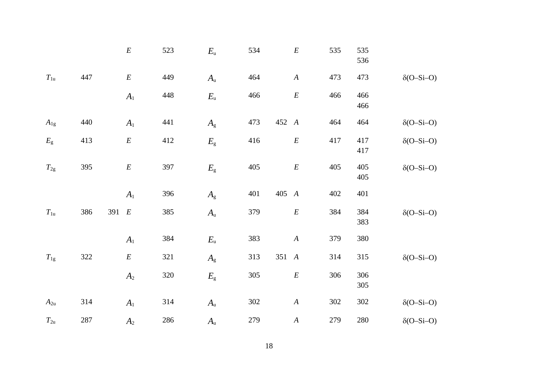|                |     |       | $\cal E$         | 523 | $E_{\mathrm{u}}$ | 534 |       | $\boldsymbol{E}$ | 535 | 535<br>536 |                   |
|----------------|-----|-------|------------------|-----|------------------|-----|-------|------------------|-----|------------|-------------------|
| $T_{1u}$       | 447 |       | $\boldsymbol{E}$ | 449 | $A_{\mathrm{u}}$ | 464 |       | $\boldsymbol{A}$ | 473 | 473        | $\delta$ (O-Si-O) |
|                |     |       | $A_1$            | 448 | $E_{\mathrm{u}}$ | 466 |       | $\cal E$         | 466 | 466<br>466 |                   |
| $A_{1g}$       | 440 |       | $A_1$            | 441 | $A_{\rm g}$      | 473 | 452 A |                  | 464 | 464        | $\delta$ (O-Si-O) |
| $E_{\rm g}$    | 413 |       | $\boldsymbol{E}$ | 412 | $E_{\rm g}$      | 416 |       | $\cal E$         | 417 | 417<br>417 | $\delta(O-Si-O)$  |
| $T_{\rm 2g}$   | 395 |       | $\boldsymbol{E}$ | 397 | $E_{\rm g}$      | 405 |       | $\cal E$         | 405 | 405<br>405 | $\delta$ (O-Si-O) |
|                |     |       | A <sub>1</sub>   | 396 | $A_{\rm g}$      | 401 | 405 A |                  | 402 | 401        |                   |
| $T_{1u}$       | 386 | 391 E |                  | 385 | $A_{\mathrm{u}}$ | 379 |       | $\boldsymbol{E}$ | 384 | 384<br>383 | $\delta$ (O-Si-O) |
|                |     |       | A <sub>1</sub>   | 384 | $E_{\mathrm{u}}$ | 383 |       | $\boldsymbol{A}$ | 379 | 380        |                   |
| $T_{\rm 1g}$   | 322 |       | $\boldsymbol{E}$ | 321 | $A_{\rm g}$      | 313 | 351 A |                  | 314 | 315        | $\delta$ (O-Si-O) |
|                |     |       | A <sub>2</sub>   | 320 | $E_{\rm g}$      | 305 |       | $\cal E$         | 306 | 306<br>305 |                   |
| $A_{2u}$       | 314 |       | $A_1$            | 314 | $A_{\mathrm{u}}$ | 302 |       | $\boldsymbol{A}$ | 302 | 302        | $\delta(O-Si-O)$  |
| $T_{2{\rm u}}$ | 287 |       | A <sub>2</sub>   | 286 | $A_{\rm u}$      | 279 |       | $\boldsymbol{A}$ | 279 | 280        | $\delta(O-Si-O)$  |